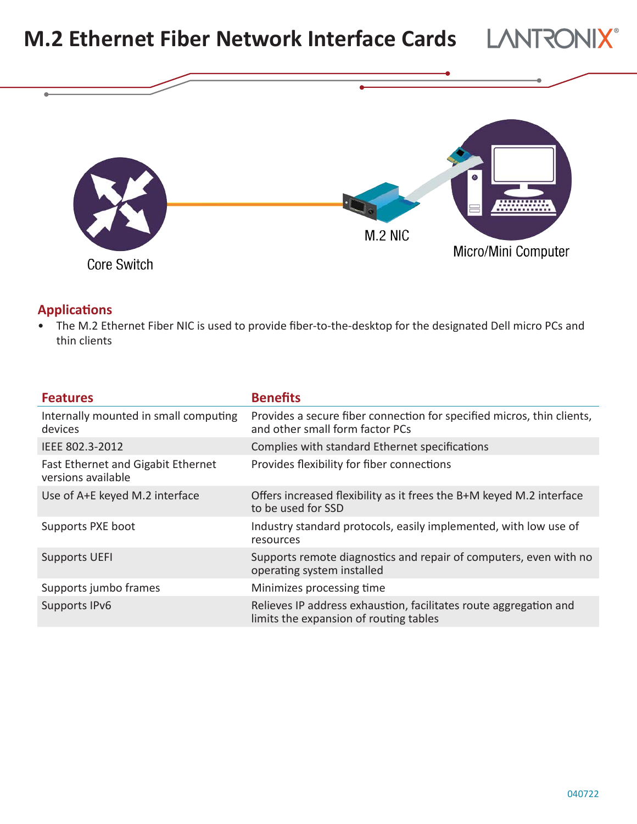

## **Applications**

• The M.2 Ethernet Fiber NIC is used to provide fiber-to-the-desktop for the designated Dell micro PCs and thin clients

| <b>Features</b>                                          | <b>Benefits</b>                                                                                             |
|----------------------------------------------------------|-------------------------------------------------------------------------------------------------------------|
| Internally mounted in small computing<br>devices         | Provides a secure fiber connection for specified micros, thin clients,<br>and other small form factor PCs   |
| IEEE 802.3-2012                                          | Complies with standard Ethernet specifications                                                              |
| Fast Ethernet and Gigabit Ethernet<br>versions available | Provides flexibility for fiber connections                                                                  |
| Use of A+E keyed M.2 interface                           | Offers increased flexibility as it frees the B+M keyed M.2 interface<br>to be used for SSD                  |
| Supports PXE boot                                        | Industry standard protocols, easily implemented, with low use of<br>resources                               |
| <b>Supports UEFI</b>                                     | Supports remote diagnostics and repair of computers, even with no<br>operating system installed             |
| Supports jumbo frames                                    | Minimizes processing time                                                                                   |
| Supports IPv6                                            | Relieves IP address exhaustion, facilitates route aggregation and<br>limits the expansion of routing tables |